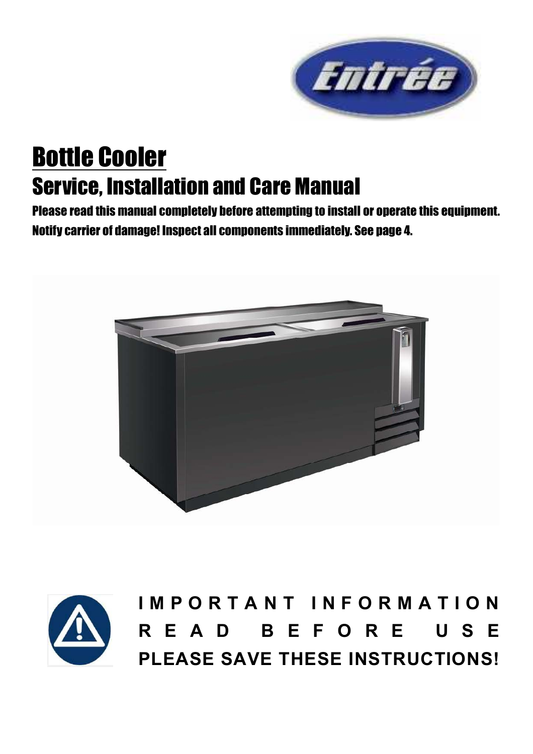

# Bottle Cooler Service, Installation and Care Manual

Please read this manual completely before attempting to install or operate this equipment. Notify carrier of damage! Inspect all components immediately. See page 4.





**I M P O R T A N T I N F O R M A T I O N R E A D B E F O R E U S E PLEASE SAVE THESE INSTRUCTIONS!**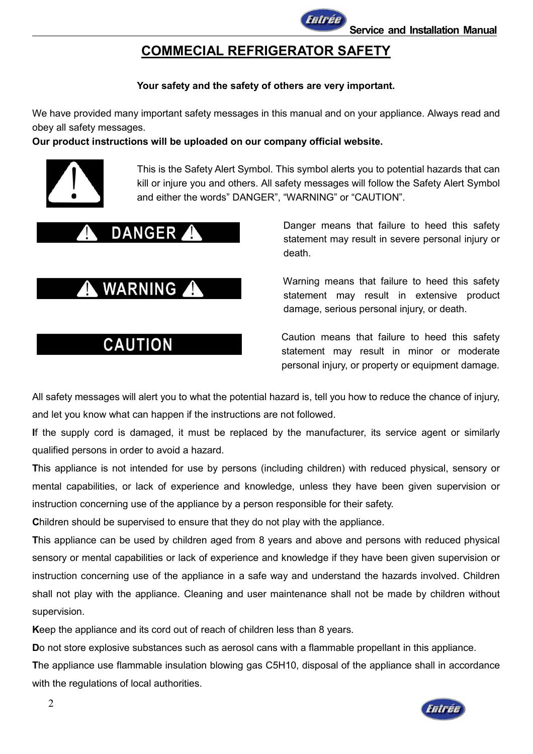

## **COMMECIAL REFRIGERATOR SAFETY**

#### **Your safety and the safety of others are very important.**

We have provided many important safety messages in this manual and on your appliance. Always read and obey all safety messages.

#### **Our product instructions will be uploaded on our company official website.**



This is the Safety Alert Symbol. This symbol alerts you to potential hazards that can kill or injure you and others. All safety messages will follow the Safety Alert Symbol and either the words" DANGER", "WARNING" or "CAUTION".



DANGER 1 DANGER DANGER DANGER DANGER statement may result in severe personal injury or death.

WARNING Warning means that failure to heed this safety statement may result in extensive product damage, serious personal injury, or death.

CAUTION Caution means that failure to heed this safety statement may result in minor or moderate personal injury, or property or equipment damage.

All safety messages will alert you to what the potential hazard is, tell you how to reduce the chance of injury, and let you know what can happen if the instructions are not followed.

**I**f the supply cord is damaged, it must be replaced by the manufacturer, its service agent or similarly qualified persons in order to avoid a hazard.

**T**his appliance is not intended for use by persons (including children) with reduced physical, sensory or mental capabilities, or lack of experience and knowledge, unless they have been given supervision or instruction concerning use of the appliance by a person responsible for their safety.

**C**hildren should be supervised to ensure that they do not play with the appliance.

**T**his appliance can be used by children aged from 8 years and above and persons with reduced physical sensory or mental capabilities or lack of experience and knowledge if they have been given supervision or instruction concerning use of the appliance in a safe way and understand the hazards involved. Children shall not play with the appliance. Cleaning and user maintenance shall not be made by children without supervision.

**K**eep the appliance and its cord out of reach of children less than 8 years.

**D**o not store explosive substances such as aerosol cans with a flammable propellant in this appliance.

**T**he appliance use flammable insulation blowing gas C5H10, disposal of the appliance shall in accordance with the regulations of local authorities.

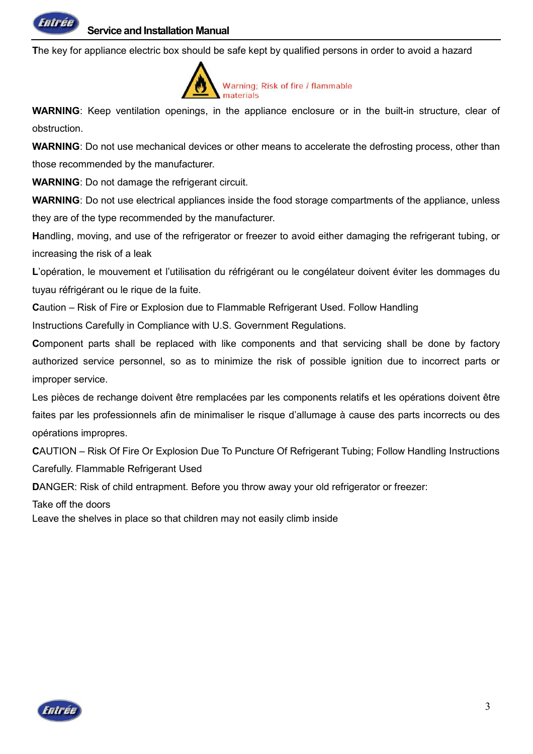

**T**he key for appliance electric box should be safe kept by qualified persons in order to avoid a hazard



**WARNING**: Keep ventilation openings, in the appliance enclosure or in the built-in structure, clear of obstruction.

**WARNING**: Do not use mechanical devices or other means to accelerate the defrosting process, other than those recommended by the manufacturer.

**WARNING**: Do not damage the refrigerant circuit.

**WARNING**: Do not use electrical appliances inside the food storage compartments of the appliance, unless they are of the type recommended by the manufacturer.

**H**andling, moving, and use of the refrigerator or freezer to avoid either damaging the refrigerant tubing, or increasing the risk of a leak

**L**'opération, le mouvement et l'utilisation du réfrigérant ou le congélateur doivent éviter les dommages du tuyau réfrigérant ou le rique de la fuite.

**C**aution – Risk of Fire or Explosion due to Flammable Refrigerant Used. Follow Handling Instructions Carefully in Compliance with U.S. Government Regulations.

**Component parts shall be replaced with like components and that servicing shall be done by factory** authorized service personnel, so as to minimize the risk of possible ignition due to incorrect parts or improper service.

Les pièces de rechange doivent être remplacées par les components relatifs et les opérations doivent être faites par les professionnels afin de minimaliser le risque d'allumage à cause des parts incorrects ou des opérations impropres.

**C**AUTION – Risk Of Fire Or Explosion Due To Puncture Of Refrigerant Tubing; Follow Handling Instructions Carefully. Flammable Refrigerant Used

**DANGER: Risk of child entrapment. Before you throw away your old refrigerator or freezer:** 

Take off the doors

Leave the shelves in place so that children may not easily climb inside

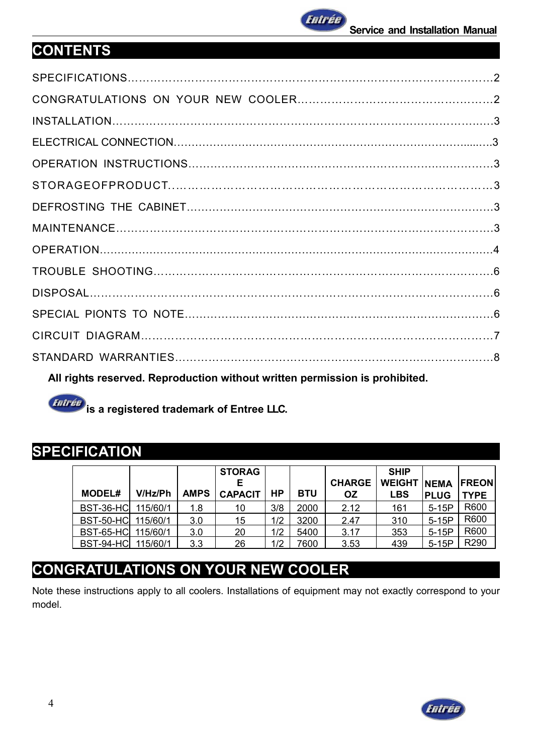

## **CONTENTS**

| All rights reserved. Reproduction without written permission is prohibited. |  |
|-----------------------------------------------------------------------------|--|

**intrée** is a registered trademark of Entree LLC.

## **SPECIFICATION**

| <b>MODEL#</b>      | V/Hz/Ph  | <b>AMPS</b> | <b>STORAG</b><br>Е<br><b>CAPACIT</b> | HР  | <b>BTU</b> | <b>CHARGE</b><br><b>OZ</b> | <b>SHIP</b><br><b>WEIGHT NEMA</b><br><b>LBS</b> | <b>PLUG</b> | <b>IFREON</b><br><b>TYPE</b> |
|--------------------|----------|-------------|--------------------------------------|-----|------------|----------------------------|-------------------------------------------------|-------------|------------------------------|
| BST-36-HC          | 115/60/1 | 1.8         | 10                                   | 3/8 | 2000       | 2.12                       | 161                                             | $5-15P$     | R600                         |
| BST-50-HC 115/60/1 |          | 3.0         | 15                                   | 1/2 | 3200       | 2.47                       | 310                                             | $5-15P$     | R600                         |
| BST-65-HC 115/60/1 |          | 3.0         | 20                                   | 1/2 | 5400       | 3.17                       | 353                                             | $5-15P$     | R600                         |
| BST-94-HC 115/60/1 |          | 3.3         | 26                                   | 1/2 | 7600       | 3.53                       | 439                                             | $5-15P$     | R <sub>290</sub>             |

## **CONGRATULATIONS ON YOUR NEW COOLER**

Note these instructions apply to all coolers. Installations of equipment may not exactly correspond to your model.

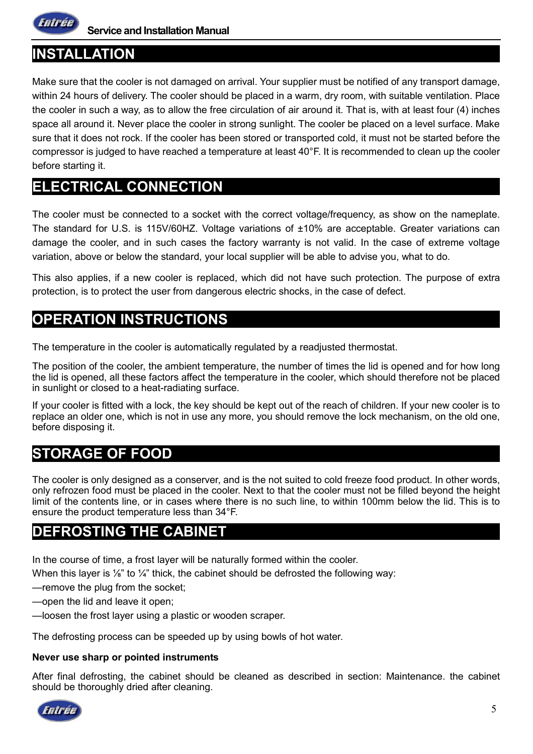

**Service and Installation Manual**

## **INSTALLATION**

Make sure that the cooler is not damaged on arrival. Your supplier must be notified of any transport damage, within 24 hours of delivery. The cooler should be placed in a warm, dry room, with suitable ventilation. Place the cooler in such a way, as to allow the free circulation of air around it. That is, with at least four (4) inches space all around it. Never place the cooler in strong sunlight. The cooler be placed on a level surface. Make sure that it does not rock. If the cooler has been stored or transported cold, it must not be started before the compressor is judged to have reached a temperature at least 40°F. It is recommended to clean up the cooler before starting it.

## **ELECTRICAL CONNECTION**

The cooler must be connected to a socket with the correct voltage/frequency, as show on the nameplate. The standard for U.S. is 115V/60HZ. Voltage variations of ±10% are acceptable. Greater variations can damage the cooler, and in such cases the factory warranty is not valid. In the case of extreme voltage variation, above or below the standard, your local supplier will be able to advise you, what to do.

This also applies, if a new cooler is replaced, which did not have such protection. The purpose of extra protection, is to protect the user from dangerous electric shocks, in the case of defect.

## **OPERATION INSTRUCTIONS**

The temperature in the cooler is automatically regulated by a readjusted thermostat.

The position of the cooler, the ambient temperature, the number of times the lid is opened and for how long the lid is opened, all these factors affect the temperature in the cooler, which should therefore not be placed in sunlight or closed to a heat-radiating surface.

If your cooler is fitted with a lock, the key should be kept out of the reach of children. If your new cooler is to replace an older one, which is not in use any more, you should remove the lock mechanism, on the old one, before disposing it.

## **STORAGE OF FOOD**

The cooler is only designed as a conserver, and is the not suited to cold freeze food product. In other words, only refrozen food must be placed in the cooler. Next to that the cooler must not be filled beyond the height limit of the contents line, or in cases where there is no such line, to within 100mm below the lid. This is to ensure the product temperature less than 34°F.

## **DEFROSTING THE CABINET**

In the course of time, a frost layer will be naturally formed within the cooler.

When this layer is  $\frac{1}{8}$ " to  $\frac{1}{4}$ " thick, the cabinet should be defrosted the following way:

- —remove the plug from the socket;
- —open the lid and leave it open;
- —loosen the frost layer using a plastic or wooden scraper.

The defrosting process can be speeded up by using bowls of hot water.

#### **Never use sharp or pointed instruments**

After final defrosting, the cabinet should be cleaned as described in section: Maintenance. the cabinet should be thoroughly dried after cleaning.

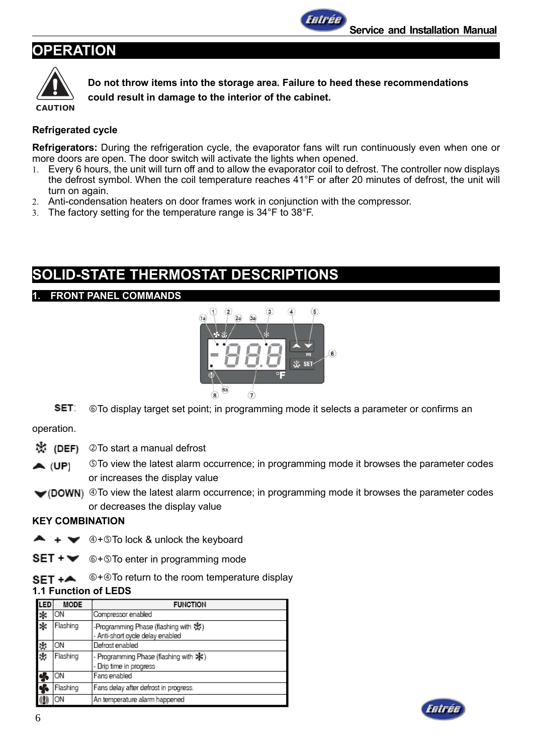## **OPERATION**



**Do not throw items into the storage area. Failure to heed these recommendations could result in damage to the interior of the cabinet.**

Fnirée

#### **Refrigerated cycle**

**Refrigerators:** During the refrigeration cycle, the evaporator fans wilt run continuously even when one or more doors are open. The door switch will activate the lights when opened.

- 1. Every 6 hours, the unit will turn off and to allow the evaporator coil to defrost. The controller now displays the defrost symbol. When the coil temperature reaches 41°F or after 20 minutes of defrost, the unit will turn on again.
- 2. Anti-condensation heaters on door frames work in conjunction with the compressor.
- 3. The factory setting for the temperature range is 34°F to 38°F.

## **SOLID-STATE THERMOSTAT DESCRIPTIONS**

#### **1. FRONT PANEL COMMANDS**



SET: To display target set point; in programming mode it selects a parameter or confirms an

operation.

漱 (DEF) -To start a manual defrost

- To view the latest alarm occurrence; in programming mode it browses the parameter codes  $\blacktriangle$  (UP) or increases the display value
- $\blacktriangleright$  (DOWN)  $\textcircled{}}$  To view the latest alarm occurrence; in programming mode it browses the parameter codes or decreases the display value

#### **KEY COMBINATION**

- $+ \bullet$   $+ \bullet$   $\circledcirc$  +  $\circledcirc$  To lock & unlock the keyboard
- $SET + \bullet$  ©+©To enter in programming mode
- $$\circ$  +  $\circ$  To return to the room temperature display$  $SET + A$

#### **1.1 Function of LEDS**

| .ED | <b>MODE</b> | <b>FUNCTION</b>                                                               |
|-----|-------------|-------------------------------------------------------------------------------|
| 柴茶  | ON          | Compressor enabled                                                            |
|     | Flashing    | -Programming Phase (flashing with ※)<br>- Anti-short cycle delay enabled      |
| 彩藝  | ON          | Defrost enabled                                                               |
|     | Flashing    | - Programming Phase (flashing with $\frac{1}{2}$ )<br>- Drip time in progress |
|     | OΝ          | Fans enabled                                                                  |
| d.  | Flashing    | Fans delay after defrost in progress.                                         |
|     | OΝ          | An temperature alarm happened                                                 |

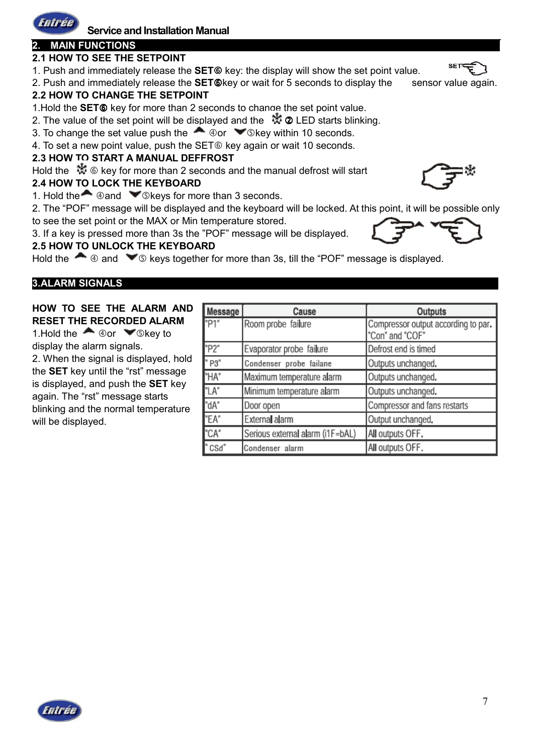

## **Service and Installation Manual**

### **2. MAIN FUNCTIONS**

#### **2.1 HOW TO SEE THE SETPOINT**

1. Push and immediately release the **SET**® key: the display will show the set point value.

2. Push and immediately release the **SET**®key or wait for 5 seconds to display the sensor value again. **2.2 HOW TO CHANGE THE SETPOINT**

1. Hold the **SET**<sup>®</sup> key for more than 2 seconds to change the set point value.

2. The value of the set point will be displayed and the  $\ddot{\ddot{\mathcal{R}}}$  ② LED starts blinking.

3. To change the set value push the  $\triangle$   $\circ$  or  $\triangle$  Skey within 10 seconds.

4. To set a new point value, push the SET® key again or wait 10 seconds.

#### **2.3 HOW TO START A MANUAL DEFFROST**

Hold the  $\mathcal{K} \otimes \mathcal{K}$  exp for more than 2 seconds and the manual defrost will start

#### **2.4 HOW TO LOCK THE KEYBOARD**

1. Hold the  $\triangle$  @ and  $\triangle$  © keys for more than 3 seconds.

2. The "POF" message will be displayed and the keyboard will be locked. At this point, it will be possible only to see the set point or the MAX or Min temperature stored.

3. If a key is pressed more than 3s the "POF" message will be displayed.

#### **2.5 HOW TO UNLOCK THE KEYBOARD**

Hold the  $\bullet$   $\circledast$  and  $\bullet$   $\circledast$  keys together for more than 3s, till the "POF" message is displayed.

#### **3.ALARM SIGNALS**

#### **HOW TO SEE THE ALARM AND RESET THE RECORDED ALARM**

1. Hold the  $\triangle$   $\circ$  or  $\triangle$   $\circ$  key to display the alarm signals.

2. When the signal is displayed, hold the **SET** key until the "rst" message is displayed, and push the **SET** key again. The "rst" message starts blinking and the normal temperature will be displayed.

| Message | Cause                            | Outputs                                                |
|---------|----------------------------------|--------------------------------------------------------|
| "P1"    | Room probe failure               | Compressor output according to par.<br>"Con" and "COF" |
| "P2"    | Evaporator probe failure         | Defrost end is timed                                   |
| "P3"    | Condenser probe failane          | Outputs unchanged.                                     |
| "HA"    | Maximum temperature alarm        | Outputs unchanged.                                     |
| "LA"    | Minimum temperature alarm        | Outputs unchanged.                                     |
| "dA"    | Door open                        | Compressor and fans restarts                           |
| "EA"    | External alarm                   | Output unchanged.                                      |
| "CA"    | Serious external alarm (i1F=bAL) | All outputs OFF.                                       |
| "CSd"   | Condenser alarm                  | All outputs OFF.                                       |





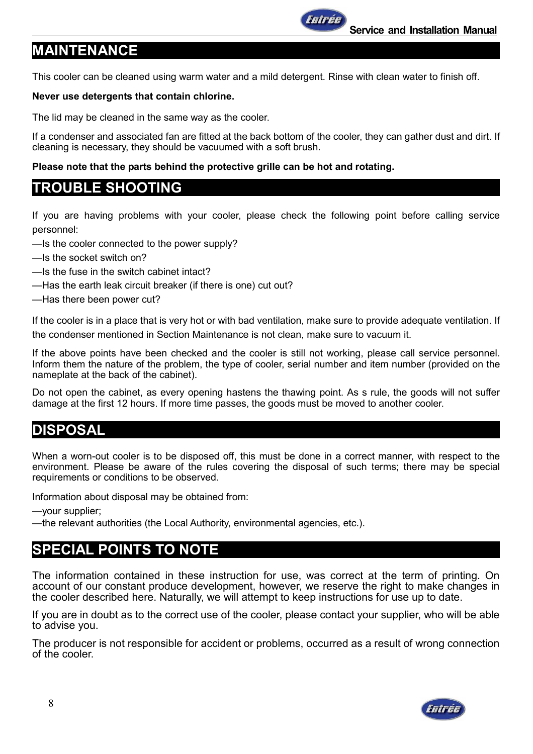# **MAINTENANCE**

This cooler can be cleaned using warm water and a mild detergent. Rinse with clean water to finish off.

Fnirée

### **Never use detergents that contain chlorine.**

The lid may be cleaned in the same way as the cooler.

If a condenser and associated fan are fitted at the back bottom of the cooler, they can gather dust and dirt. If cleaning is necessary, they should be vacuumed with a soft brush.

### **Please note that the parts behind the protective grille can be hot and rotating.**

## **TROUBLE SHOOTING**

If you are having problems with your cooler, please check the following point before calling service personnel:

- —Is the cooler connected to the power supply?
- —Is the socket switch on?
- —Is the fuse in the switch cabinet intact?
- —Has the earth leak circuit breaker (if there is one) cut out?
- —Has there been power cut?

If the cooler is in a place that is very hot or with bad ventilation, make sure to provide adequate ventilation. If the condenser mentioned in Section Maintenance is not clean, make sure to vacuum it.

If the above points have been checked and the cooler is still not working, please call service personnel. Inform them the nature of the problem, the type of cooler, serial number and item number (provided on the nameplate at the back of the cabinet).

Do not open the cabinet, as every opening hastens the thawing point. As s rule, the goods will not suffer damage at the first 12 hours. If more time passes, the goods must be moved to another cooler.

## **DISPOSAL**

When a worn-out cooler is to be disposed off, this must be done in a correct manner, with respect to the environment. Please be aware of the rules covering the disposal of such terms; there may be special requirements or conditions to be observed.

Information about disposal may be obtained from:

—your supplier;

—the relevant authorities (the Local Authority, environmental agencies, etc.).

## **SPECIAL POINTS TO NOTE**

The information contained in these instruction for use, was correct at the term of printing. On account of our constant produce development, however, we reserve the right to make changes in the cooler described here. Naturally, we will attempt to keep instructions for use up to date.

If you are in doubt as to the correct use of the cooler, please contact your supplier, who will be able to advise you.

The producer is not responsible for accident or problems, occurred as a result of wrong connection of the cooler.

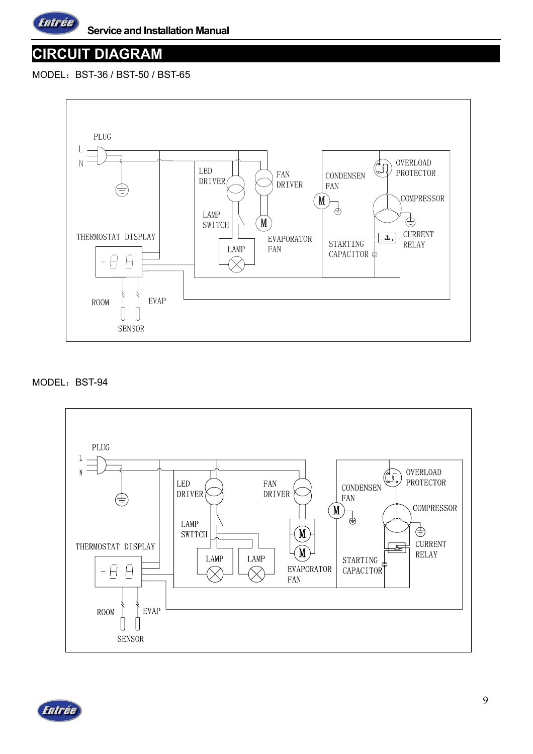

## **CIRCUIT DIAGRAM**

MODEL: BST-36 / BST-50 / BST-65



#### MODEL: BST-94



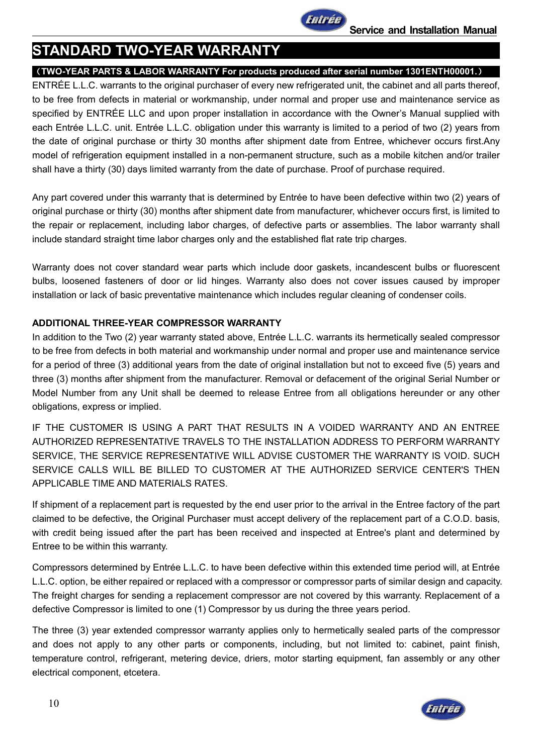

## **STANDARD TWO-YEAR WARRANTY**

#### (**TWO-YEAR PARTS & LABOR WARRANTY For products produced after serial number 1301ENTH00001.**)

ENTRÉE L.L.C. warrants to the original purchaser of every new refrigerated unit, the cabinet and all parts thereof, to be free from defects in material or workmanship, under normal and proper use and maintenance service as specified by ENTRÉE LLC and upon proper installation in accordance with the Owner's Manual supplied with each Entrée L.L.C. unit. Entrée L.L.C. obligation under this warranty is limited to a period of two (2) years from the date of original purchase or thirty 30 months after shipment date from Entree, whichever occurs first.Any model of refrigeration equipment installed in a non-permanent structure, such as a mobile kitchen and/or trailer shall have a thirty (30) days limited warranty from the date of purchase. Proof of purchase required.

Any part covered under this warranty that is determined by Entrée to have been defective within two (2) years of original purchase or thirty (30) months after shipment date from manufacturer, whichever occurs first, is limited to the repair or replacement, including labor charges, of defective parts or assemblies. The labor warranty shall include standard straight time labor charges only and the established flat rate trip charges.

Warranty does not cover standard wear parts which include door gaskets, incandescent bulbs or fluorescent bulbs, loosened fasteners of door or lid hinges. Warranty also does not cover issues caused by improper installation or lack of basic preventative maintenance which includes regular cleaning of condenser coils.

#### **ADDITIONAL THREE-YEAR COMPRESSOR WARRANTY**

In addition to the Two (2) year warranty stated above, Entrée L.L.C. warrants its hermetically sealed compressor to be free from defects in both material and workmanship under normal and proper use and maintenance service for a period of three (3) additional years from the date of original installation but not to exceed five (5) years and three (3) months after shipment from the manufacturer. Removal or defacement of the original Serial Number or Model Number from any Unit shall be deemed to release Entree from all obligations hereunder or any other obligations, express or implied.

IF THE CUSTOMER IS USING A PART THAT RESULTS IN A VOIDED WARRANTY AND AN ENTREE AUTHORIZED REPRESENTATIVE TRAVELS TO THE INSTALLATION ADDRESS TO PERFORM WARRANTY SERVICE, THE SERVICE REPRESENTATIVE WILL ADVISE CUSTOMER THE WARRANTY IS VOID. SUCH SERVICE CALLS WILL BE BILLED TO CUSTOMER AT THE AUTHORIZED SERVICE CENTER'S THEN APPLICABLE TIME AND MATERIALS RATES.

If shipment of a replacement part is requested by the end user prior to the arrival in the Entree factory of the part claimed to be defective, the Original Purchaser must accept delivery of the replacement part of a C.O.D. basis, with credit being issued after the part has been received and inspected at Entree's plant and determined by Entree to be within this warranty.

Compressors determined by Entrée L.L.C. to have been defective within this extended time period will, at Entrée L.L.C. option, be either repaired or replaced with a compressor or compressor parts of similar design and capacity. The freight charges for sending a replacement compressor are not covered by this warranty. Replacement of a defective Compressor is limited to one (1) Compressor by us during the three years period.

The three (3) year extended compressor warranty applies only to hermetically sealed parts of the compressor and does not apply to any other parts or components, including, but not limited to: cabinet, paint finish, temperature control, refrigerant, metering device, driers, motor starting equipment, fan assembly or any other electrical component, etcetera.

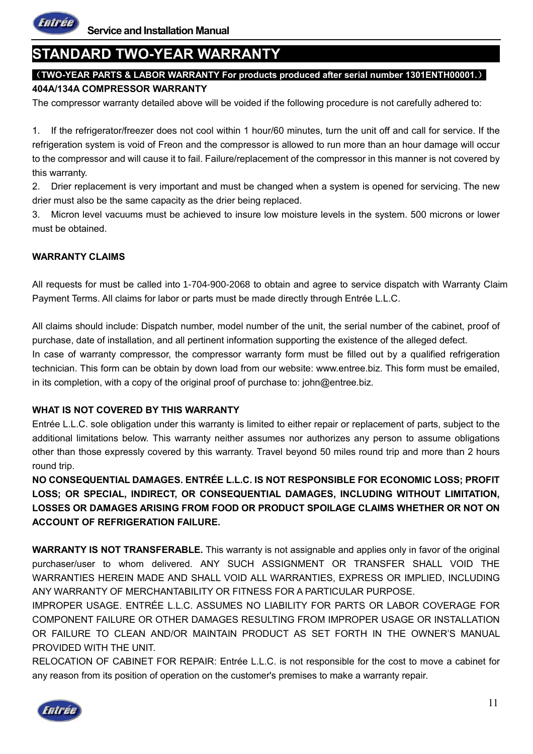

## **STANDARD TWO-YEAR WARRANTY**

## (**TWO-YEAR PARTS & LABOR WARRANTY For products produced after serial number 1301ENTH00001.**)

#### **404A/134A COMPRESSOR WARRANTY**

The compressor warranty detailed above will be voided if the following procedure is not carefully adhered to:

1. If the refrigerator/freezer does not cool within 1 hour/60 minutes, turn the unit off and call for service. If the refrigeration system is void of Freon and the compressor is allowed to run more than an hour damage will occur to the compressor and will cause it to fail. Failure/replacement of the compressor in this manner is not covered by this warranty.

2. Drier replacement is very important and must be changed when a system is opened for servicing. The new drier must also be the same capacity as the drier being replaced.

3. Micron level vacuums must be achieved to insure low moisture levels in the system. 500 microns or lower must be obtained.

#### **WARRANTY CLAIMS**

All requests for must be called into 1-704-900-2068 to obtain and agree to service dispatch with Warranty Claim Payment Terms. All claims for labor or parts must be made directly through Entrée L.L.C.

All claims should include: Dispatch number, model number of the unit, the serial number of the cabinet, proof of purchase, date of installation, and all pertinent information supporting the existence of the alleged defect. In case of warranty compressor, the compressor warranty form must be filled out by a qualified refrigeration technician. This form can be obtain by down load from our website: www.entree.biz. This form must be emailed, in its completion, with a copy of the original proof of purchase to: john@entree.biz.

#### **WHAT IS NOT COVERED BY THIS WARRANTY**

Entrée L.L.C. sole obligation under this warranty is limited to either repair or replacement of parts, subject to the additional limitations below. This warranty neither assumes nor authorizes any person to assume obligations other than those expressly covered by this warranty. Travel beyond 50 miles round trip and more than 2 hours round trip.

**NO CONSEQUENTIAL DAMAGES. ENTRÉE L.L.C. IS NOT RESPONSIBLE FOR ECONOMIC LOSS; PROFIT LOSS; OR SPECIAL, INDIRECT, OR CONSEQUENTIAL DAMAGES, INCLUDING WITHOUT LIMITATION, LOSSES OR DAMAGES ARISING FROM FOOD OR PRODUCT SPOILAGE CLAIMS WHETHER OR NOT ON ACCOUNT OF REFRIGERATION FAILURE.** 

**WARRANTY IS NOT TRANSFERABLE.** This warranty is not assignable and applies only in favor of the original purchaser/user to whom delivered. ANY SUCH ASSIGNMENT OR TRANSFER SHALL VOID THE WARRANTIES HEREIN MADE AND SHALL VOID ALL WARRANTIES, EXPRESS OR IMPLIED, INCLUDING ANY WARRANTY OF MERCHANTABILITY OR FITNESS FOR A PARTICULAR PURPOSE.

IMPROPER USAGE. ENTRÉE L.L.C. ASSUMES NO LIABILITY FOR PARTS OR LABOR COVERAGE FOR COMPONENT FAILURE OR OTHER DAMAGES RESULTING FROM IMPROPER USAGE OR INSTALLATION OR FAILURE TO CLEAN AND/OR MAINTAIN PRODUCT AS SET FORTH IN THE OWNER'S MANUAL PROVIDED WITH THE UNIT.

RELOCATION OF CABINET FOR REPAIR: Entrée L.L.C. is not responsible for the cost to move a cabinet for any reason from its position of operation on the customer's premises to make a warranty repair.

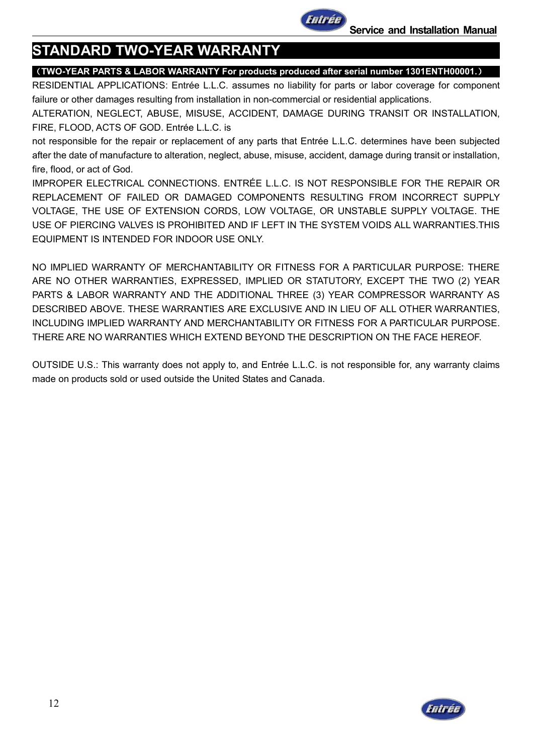

## **STANDARD TWO-YEAR WARRANTY**

#### (**TWO-YEAR PARTS & LABOR WARRANTY For products produced after serial number 1301ENTH00001.**)

RESIDENTIAL APPLICATIONS: Entrée L.L.C. assumes no liability for parts or labor coverage for component failure or other damages resulting from installation in non-commercial or residential applications.

ALTERATION, NEGLECT, ABUSE, MISUSE, ACCIDENT, DAMAGE DURING TRANSIT OR INSTALLATION, FIRE, FLOOD, ACTS OF GOD. Entrée L.L.C. is

not responsible for the repair or replacement of any parts that Entrée L.L.C. determines have been subjected after the date of manufacture to alteration, neglect, abuse, misuse, accident, damage during transit or installation, fire, flood, or act of God.

IMPROPER ELECTRICAL CONNECTIONS. ENTRÉE L.L.C. IS NOT RESPONSIBLE FOR THE REPAIR OR REPLACEMENT OF FAILED OR DAMAGED COMPONENTS RESULTING FROM INCORRECT SUPPLY VOLTAGE, THE USE OF EXTENSION CORDS, LOW VOLTAGE, OR UNSTABLE SUPPLY VOLTAGE. THE USE OF PIERCING VALVES IS PROHIBITED AND IF LEFT IN THE SYSTEM VOIDS ALL WARRANTIES.THIS EQUIPMENT IS INTENDED FOR INDOOR USE ONLY.

NO IMPLIED WARRANTY OF MERCHANTABILITY OR FITNESS FOR A PARTICULAR PURPOSE: THERE ARE NO OTHER WARRANTIES, EXPRESSED, IMPLIED OR STATUTORY, EXCEPT THE TWO (2) YEAR PARTS & LABOR WARRANTY AND THE ADDITIONAL THREE (3) YEAR COMPRESSOR WARRANTY AS DESCRIBED ABOVE. THESE WARRANTIES ARE EXCLUSIVE AND IN LIEU OF ALL OTHER WARRANTIES, INCLUDING IMPLIED WARRANTY AND MERCHANTABILITY OR FITNESS FOR A PARTICULAR PURPOSE. THERE ARE NO WARRANTIES WHICH EXTEND BEYOND THE DESCRIPTION ON THE FACE HEREOF.

OUTSIDE U.S.: This warranty does not apply to, and Entrée L.L.C. is not responsible for, any warranty claims made on products sold or used outside the United States and Canada.